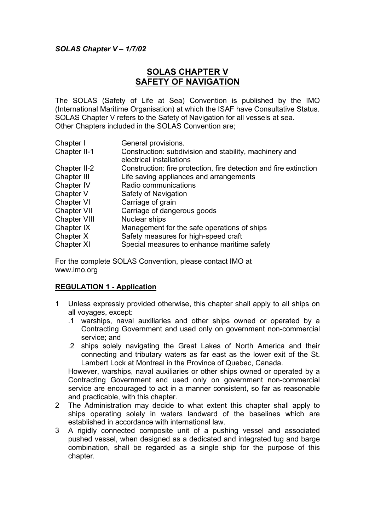# **SOLAS CHAPTER V SAFETY OF NAVIGATION**

The SOLAS (Safety of Life at Sea) Convention is published by the IMO (International Maritime Organisation) at which the ISAF have Consultative Status. SOLAS Chapter V refers to the Safety of Navigation for all vessels at sea. Other Chapters included in the SOLAS Convention are;

| Chapter I           | General provisions.                                               |
|---------------------|-------------------------------------------------------------------|
| Chapter II-1        | Construction: subdivision and stability, machinery and            |
|                     | electrical installations                                          |
| Chapter II-2        | Construction: fire protection, fire detection and fire extinction |
| Chapter III         | Life saving appliances and arrangements                           |
| Chapter IV          | Radio communications                                              |
| Chapter V           | Safety of Navigation                                              |
| Chapter VI          | Carriage of grain                                                 |
| Chapter VII         | Carriage of dangerous goods                                       |
| <b>Chapter VIII</b> | Nuclear ships                                                     |
| Chapter IX          | Management for the safe operations of ships                       |
| Chapter X           | Safety measures for high-speed craft                              |
| Chapter XI          | Special measures to enhance maritime safety                       |
|                     |                                                                   |

For the complete SOLAS Convention, please contact IMO at www.imo.org

### **REGULATION 1 - Application**

- 1 Unless expressly provided otherwise, this chapter shall apply to all ships on all voyages, except:
	- .1 warships, naval auxiliaries and other ships owned or operated by a Contracting Government and used only on government non-commercial service; and
	- .2 ships solely navigating the Great Lakes of North America and their connecting and tributary waters as far east as the lower exit of the St. Lambert Lock at Montreal in the Province of Quebec, Canada.

However, warships, naval auxiliaries or other ships owned or operated by a Contracting Government and used only on government non-commercial service are encouraged to act in a manner consistent, so far as reasonable and practicable, with this chapter.

- 2 The Administration may decide to what extent this chapter shall apply to ships operating solely in waters landward of the baselines which are established in accordance with international law.
- 3 A rigidly connected composite unit of a pushing vessel and associated pushed vessel, when designed as a dedicated and integrated tug and barge combination, shall be regarded as a single ship for the purpose of this chapter.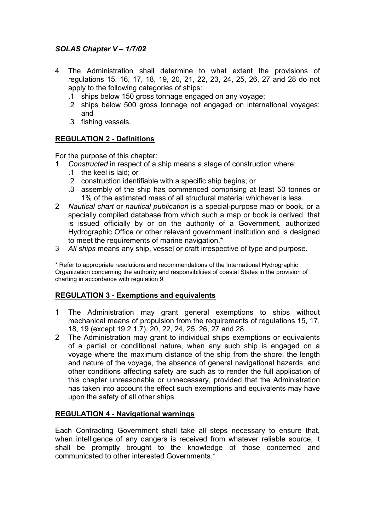- 4 The Administration shall determine to what extent the provisions of regulations 15, 16, 17, 18, 19, 20, 21, 22, 23, 24, 25, 26, 27 and 28 do not apply to the following categories of ships:
	- .1 ships below 150 gross tonnage engaged on any voyage;
	- .2 ships below 500 gross tonnage not engaged on international voyages; and
	- .3 fishing vessels.

## **REGULATION 2 - Definitions**

For the purpose of this chapter:

- 1 *Constructed* in respect of a ship means a stage of construction where:
	- .1 the keel is laid; or
	- .2 construction identifiable with a specific ship begins; or
	- .3 assembly of the ship has commenced comprising at least 50 tonnes or 1% of the estimated mass of all structural material whichever is less.
- 2 *Nautical chart* or *nautical publication* is a special-purpose map or book, or a specially compiled database from which such a map or book is derived, that is issued officially by or on the authority of a Government, authorized Hydrographic Office or other relevant government institution and is designed to meet the requirements of marine navigation.\*
- 3 *All ships* means any ship, vessel or craft irrespective of type and purpose.

\* Refer to appropriate resolutions and recommendations of the International Hydrographic Organization concerning the authority and responsibilities of coastal States in the provision of charting in accordance with regulation 9.

## **REGULATION 3 - Exemptions and equivalents**

- 1 The Administration may grant general exemptions to ships without mechanical means of propulsion from the requirements of regulations 15, 17, 18, 19 (except 19.2.1.7), 20, 22, 24, 25, 26, 27 and 28.
- 2 The Administration may grant to individual ships exemptions or equivalents of a partial or conditional nature, when any such ship is engaged on a voyage where the maximum distance of the ship from the shore, the length and nature of the voyage, the absence of general navigational hazards, and other conditions affecting safety are such as to render the full application of this chapter unreasonable or unnecessary, provided that the Administration has taken into account the effect such exemptions and equivalents may have upon the safety of all other ships.

### **REGULATION 4 - Navigational warnings**

Each Contracting Government shall take all steps necessary to ensure that, when intelligence of any dangers is received from whatever reliable source, it shall be promptly brought to the knowledge of those concerned and communicated to other interested Governments.\*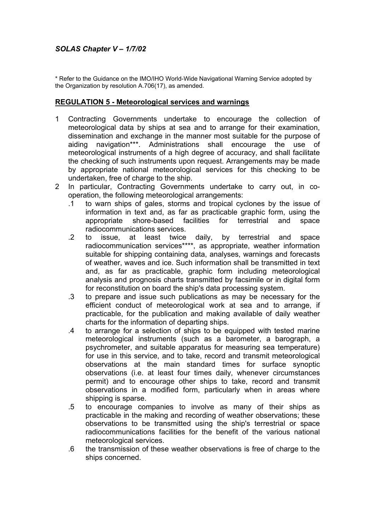\* Refer to the Guidance on the IMO/IHO World-Wide Navigational Warning Service adopted by the Organization by resolution A.706(17), as amended.

### **REGULATION 5 - Meteorological services and warnings**

- 1 Contracting Governments undertake to encourage the collection of meteorological data by ships at sea and to arrange for their examination, dissemination and exchange in the manner most suitable for the purpose of aiding navigation\*\*\*. Administrations shall encourage the use of meteorological instruments of a high degree of accuracy, and shall facilitate the checking of such instruments upon request. Arrangements may be made by appropriate national meteorological services for this checking to be undertaken, free of charge to the ship.
- 2 In particular, Contracting Governments undertake to carry out, in cooperation, the following meteorological arrangements:
	- .1 to warn ships of gales, storms and tropical cyclones by the issue of information in text and, as far as practicable graphic form, using the appropriate shore-based facilities for terrestrial and space radiocommunications services.
	- .2 to issue, at least twice daily, by terrestrial and space radiocommunication services\*\*\*\*, as appropriate, weather information suitable for shipping containing data, analyses, warnings and forecasts of weather, waves and ice. Such information shall be transmitted in text and, as far as practicable, graphic form including meteorological analysis and prognosis charts transmitted by facsimile or in digital form for reconstitution on board the ship's data processing system.
	- .3 to prepare and issue such publications as may be necessary for the efficient conduct of meteorological work at sea and to arrange, if practicable, for the publication and making available of daily weather charts for the information of departing ships.
	- .4 to arrange for a selection of ships to be equipped with tested marine meteorological instruments (such as a barometer, a barograph, a psychrometer, and suitable apparatus for measuring sea temperature) for use in this service, and to take, record and transmit meteorological observations at the main standard times for surface synoptic observations (i.e. at least four times daily, whenever circumstances permit) and to encourage other ships to take, record and transmit observations in a modified form, particularly when in areas where shipping is sparse.
	- .5 to encourage companies to involve as many of their ships as practicable in the making and recording of weather observations; these observations to be transmitted using the ship's terrestrial or space radiocommunications facilities for the benefit of the various national meteorological services.
	- .6 the transmission of these weather observations is free of charge to the ships concerned.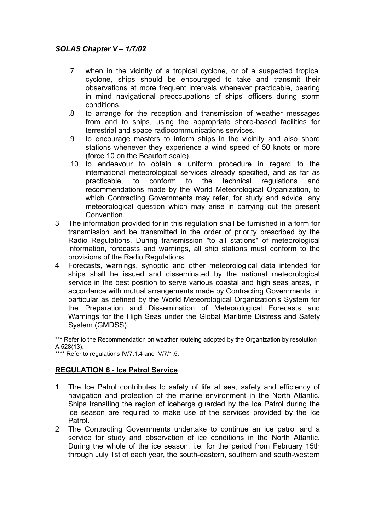- .7 when in the vicinity of a tropical cyclone, or of a suspected tropical cyclone, ships should be encouraged to take and transmit their observations at more frequent intervals whenever practicable, bearing in mind navigational preoccupations of ships' officers during storm conditions.
- .8 to arrange for the reception and transmission of weather messages from and to ships, using the appropriate shore-based facilities for terrestrial and space radiocommunications services.
- .9 to encourage masters to inform ships in the vicinity and also shore stations whenever they experience a wind speed of 50 knots or more (force 10 on the Beaufort scale).
- .10 to endeavour to obtain a uniform procedure in regard to the international meteorological services already specified, and as far as practicable, to conform to the technical regulations and recommendations made by the World Meteorological Organization, to which Contracting Governments may refer, for study and advice, any meteorological question which may arise in carrying out the present Convention.
- 3 The information provided for in this regulation shall be furnished in a form for transmission and be transmitted in the order of priority prescribed by the Radio Regulations. During transmission "to all stations" of meteorological information, forecasts and warnings, all ship stations must conform to the provisions of the Radio Regulations.
- 4 Forecasts, warnings, synoptic and other meteorological data intended for ships shall be issued and disseminated by the national meteorological service in the best position to serve various coastal and high seas areas, in accordance with mutual arrangements made by Contracting Governments, in particular as defined by the World Meteorological Organization's System for the Preparation and Dissemination of Meteorological Forecasts and Warnings for the High Seas under the Global Maritime Distress and Safety System (GMDSS).

\*\*\* Refer to the Recommendation on weather routeing adopted by the Organization by resolution A.528(13).

\*\*\*\* Refer to regulations IV/7.1.4 and IV/7/1.5.

### **REGULATION 6 - Ice Patrol Service**

- 1 The Ice Patrol contributes to safety of life at sea, safety and efficiency of navigation and protection of the marine environment in the North Atlantic. Ships transiting the region of icebergs guarded by the Ice Patrol during the ice season are required to make use of the services provided by the Ice Patrol.
- 2 The Contracting Governments undertake to continue an ice patrol and a service for study and observation of ice conditions in the North Atlantic. During the whole of the ice season, i.e. for the period from February 15th through July 1st of each year, the south-eastern, southern and south-western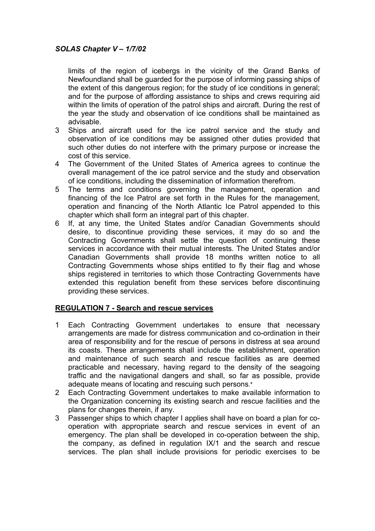limits of the region of icebergs in the vicinity of the Grand Banks of Newfoundland shall be guarded for the purpose of informing passing ships of the extent of this dangerous region; for the study of ice conditions in general; and for the purpose of affording assistance to ships and crews requiring aid within the limits of operation of the patrol ships and aircraft. During the rest of the year the study and observation of ice conditions shall be maintained as advisable.

- 3 Ships and aircraft used for the ice patrol service and the study and observation of ice conditions may be assigned other duties provided that such other duties do not interfere with the primary purpose or increase the cost of this service.
- 4 The Government of the United States of America agrees to continue the overall management of the ice patrol service and the study and observation of ice conditions, including the dissemination of information therefrom.
- 5 The terms and conditions governing the management, operation and financing of the Ice Patrol are set forth in the Rules for the management, operation and financing of the North Atlantic Ice Patrol appended to this chapter which shall form an integral part of this chapter.
- 6 If, at any time, the United States and/or Canadian Governments should desire, to discontinue providing these services, it may do so and the Contracting Governments shall settle the question of continuing these services in accordance with their mutual interests. The United States and/or Canadian Governments shall provide 18 months written notice to all Contracting Governments whose ships entitled to fly their flag and whose ships registered in territories to which those Contracting Governments have extended this regulation benefit from these services before discontinuing providing these services.

### **REGULATION 7 - Search and rescue services**

- 1 Each Contracting Government undertakes to ensure that necessary arrangements are made for distress communication and co-ordination in their area of responsibility and for the rescue of persons in distress at sea around its coasts. These arrangements shall include the establishment, operation and maintenance of such search and rescue facilities as are deemed practicable and necessary, having regard to the density of the seagoing traffic and the navigational dangers and shall, so far as possible, provide adequate means of locating and rescuing such persons.\*
- 2 Each Contracting Government undertakes to make available information to the Organization concerning its existing search and rescue facilities and the plans for changes therein, if any.
- 3 Passenger ships to which chapter I applies shall have on board a plan for cooperation with appropriate search and rescue services in event of an emergency. The plan shall be developed in co-operation between the ship, the company, as defined in regulation IX/1 and the search and rescue services. The plan shall include provisions for periodic exercises to be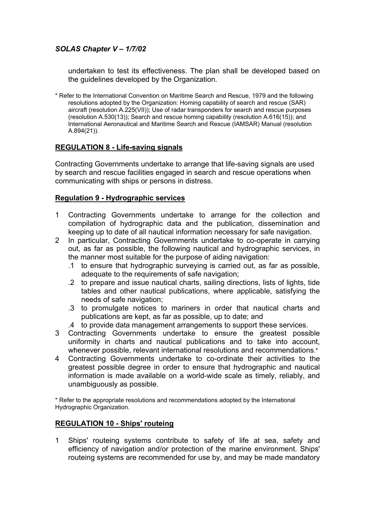undertaken to test its effectiveness. The plan shall be developed based on the guidelines developed by the Organization.

\* Refer to the International Convention on Maritime Search and Rescue, 1979 and the following resolutions adopted by the Organization: Homing capability of search and rescue (SAR) aircraft (resolution A.225(VII)); Use of radar transponders for search and rescue purposes (resolution A.530(13)); Search and rescue homing capability (resolution A.616(15)); and International Aeronautical and Maritime Search and Rescue (IAMSAR) Manual (resolution A.894(21)).

### **REGULATION 8 - Life-saving signals**

Contracting Governments undertake to arrange that life-saving signals are used by search and rescue facilities engaged in search and rescue operations when communicating with ships or persons in distress.

### **Regulation 9 - Hydrographic services**

- 1 Contracting Governments undertake to arrange for the collection and compilation of hydrographic data and the publication, dissemination and keeping up to date of all nautical information necessary for safe navigation.
- 2 In particular, Contracting Governments undertake to co-operate in carrying out, as far as possible, the following nautical and hydrographic services, in the manner most suitable for the purpose of aiding navigation:
	- .1 to ensure that hydrographic surveying is carried out, as far as possible, adequate to the requirements of safe navigation;
	- .2 to prepare and issue nautical charts, sailing directions, lists of lights, tide tables and other nautical publications, where applicable, satisfying the needs of safe navigation;
	- .3 to promulgate notices to mariners in order that nautical charts and publications are kept, as far as possible, up to date; and
	- .4 to provide data management arrangements to support these services.
- 3 Contracting Governments undertake to ensure the greatest possible uniformity in charts and nautical publications and to take into account, whenever possible, relevant international resolutions and recommendations.\*
- 4 Contracting Governments undertake to co-ordinate their activities to the greatest possible degree in order to ensure that hydrographic and nautical information is made available on a world-wide scale as timely, reliably, and unambiguously as possible.

\* Refer to the appropriate resolutions and recommendations adopted by the International Hydrographic Organization.

### **REGULATION 10 - Ships' routeing**

1 Ships' routeing systems contribute to safety of life at sea, safety and efficiency of navigation and/or protection of the marine environment. Ships' routeing systems are recommended for use by, and may be made mandatory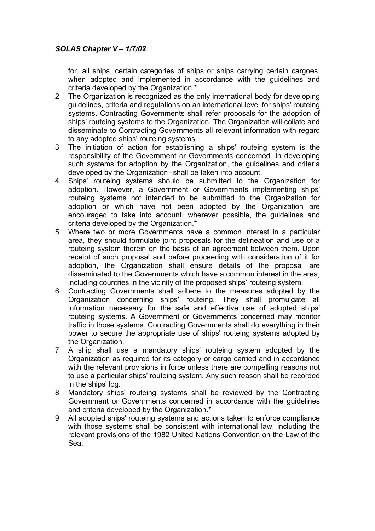for, all ships, certain categories of ships or ships carrying certain cargoes, when adopted and implemented in accordance with the guidelines and criteria developed by the Organization.\*

- 2 The Organization is recognized as the only international body for developing guidelines, criteria and regulations on an international level for ships' routeing systems. Contracting Governments shall refer proposals for the adoption of ships' routeing systems to the Organization. The Organization will collate and disseminate to Contracting Governments all relevant information with regard to any adopted ships' routeing systems.
- 3 The initiation of action for establishing a ships' routeing system is the responsibility of the Government or Governments concerned. In developing such systems for adoption by the Organization, the guidelines and criteria developed by the Organization \* shall be taken into account.
- 4 Ships' routeing systems should be submitted to the Organization for adoption. However, a Government or Governments implementing ships' routeing systems not intended to be submitted to the Organization for adoption or which have not been adopted by the Organization are encouraged to take into account, wherever possible, the guidelines and criteria developed by the Organization.\*
- 5 Where two or more Governments have a common interest in a particular area, they should formulate joint proposals for the delineation and use of a routeing system therein on the basis of an agreement between them. Upon receipt of such proposal and before proceeding with consideration of it for adoption, the Organization shall ensure details of the proposal are disseminated to the Governments which have a common interest in the area, including countries in the vicinity of the proposed ships' routeing system.
- 6 Contracting Governments shall adhere to the measures adopted by the Organization concerning ships' routeing. They shall promulgate all information necessary for the safe and effective use of adopted ships' routeing systems. A Government or Governments concerned may monitor traffic in those systems. Contracting Governments shall do everything in their power to secure the appropriate use of ships' routeing systems adopted by the Organization.
- 7 A ship shall use a mandatory ships' routeing system adopted by the Organization as required for its category or cargo carried and in accordance with the relevant provisions in force unless there are compelling reasons not to use a particular ships' routeing system. Any such reason shall be recorded in the ships' log.
- 8 Mandatory ships' routeing systems shall be reviewed by the Contracting Government or Governments concerned in accordance with the guidelines and criteria developed by the Organization.\*
- 9 All adopted ships' routeing systems and actions taken to enforce compliance with those systems shall be consistent with international law, including the relevant provisions of the 1982 United Nations Convention on the Law of the Sea.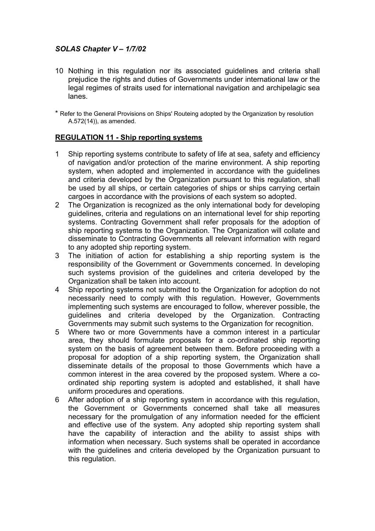- 10 Nothing in this regulation nor its associated guidelines and criteria shall prejudice the rights and duties of Governments under international law or the legal regimes of straits used for international navigation and archipelagic sea lanes.
- \* Refer to the General Provisions on Ships' Routeing adopted by the Organization by resolution A.572(14)), as amended.

#### **REGULATION 11 - Ship reporting systems**

- 1 Ship reporting systems contribute to safety of life at sea, safety and efficiency of navigation and/or protection of the marine environment. A ship reporting system, when adopted and implemented in accordance with the guidelines and criteria developed by the Organization pursuant to this regulation, shall be used by all ships, or certain categories of ships or ships carrying certain cargoes in accordance with the provisions of each system so adopted.
- 2 The Organization is recognized as the only international body for developing guidelines, criteria and regulations on an international level for ship reporting systems. Contracting Government shall refer proposals for the adoption of ship reporting systems to the Organization. The Organization will collate and disseminate to Contracting Governments all relevant information with regard to any adopted ship reporting system.
- 3 The initiation of action for establishing a ship reporting system is the responsibility of the Government or Governments concerned. In developing such systems provision of the guidelines and criteria developed by the Organization shall be taken into account.
- 4 Ship reporting systems not submitted to the Organization for adoption do not necessarily need to comply with this regulation. However, Governments implementing such systems are encouraged to follow, wherever possible, the guidelines and criteria developed by the Organization. Contracting Governments may submit such systems to the Organization for recognition.
- 5 Where two or more Governments have a common interest in a particular area, they should formulate proposals for a co-ordinated ship reporting system on the basis of agreement between them. Before proceeding with a proposal for adoption of a ship reporting system, the Organization shall disseminate details of the proposal to those Governments which have a common interest in the area covered by the proposed system. Where a coordinated ship reporting system is adopted and established, it shall have uniform procedures and operations.
- 6 After adoption of a ship reporting system in accordance with this regulation, the Government or Governments concerned shall take all measures necessary for the promulgation of any information needed for the efficient and effective use of the system. Any adopted ship reporting system shall have the capability of interaction and the ability to assist ships with information when necessary. Such systems shall be operated in accordance with the guidelines and criteria developed by the Organization pursuant to this regulation.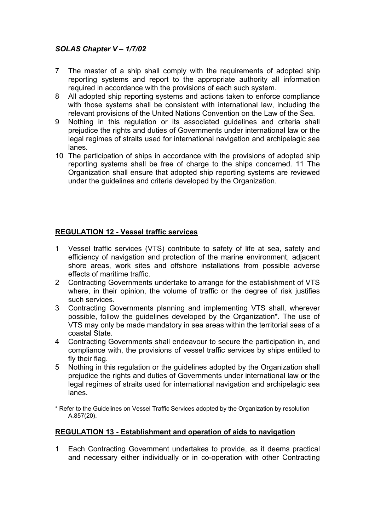- 7 The master of a ship shall comply with the requirements of adopted ship reporting systems and report to the appropriate authority all information required in accordance with the provisions of each such system.
- 8 All adopted ship reporting systems and actions taken to enforce compliance with those systems shall be consistent with international law, including the relevant provisions of the United Nations Convention on the Law of the Sea.
- 9 Nothing in this regulation or its associated guidelines and criteria shall prejudice the rights and duties of Governments under international law or the legal regimes of straits used for international navigation and archipelagic sea lanes.
- 10 The participation of ships in accordance with the provisions of adopted ship reporting systems shall be free of charge to the ships concerned. 11 The Organization shall ensure that adopted ship reporting systems are reviewed under the guidelines and criteria developed by the Organization.

### **REGULATION 12 - Vessel traffic services**

- 1 Vessel traffic services (VTS) contribute to safety of life at sea, safety and efficiency of navigation and protection of the marine environment, adjacent shore areas, work sites and offshore installations from possible adverse effects of maritime traffic.
- 2 Contracting Governments undertake to arrange for the establishment of VTS where, in their opinion, the volume of traffic or the degree of risk justifies such services.
- 3 Contracting Governments planning and implementing VTS shall, wherever possible, follow the guidelines developed by the Organization\*. The use of VTS may only be made mandatory in sea areas within the territorial seas of a coastal State.
- 4 Contracting Governments shall endeavour to secure the participation in, and compliance with, the provisions of vessel traffic services by ships entitled to fly their flag.
- 5 Nothing in this regulation or the guidelines adopted by the Organization shall prejudice the rights and duties of Governments under international law or the legal regimes of straits used for international navigation and archipelagic sea lanes.
- \* Refer to the Guidelines on Vessel Traffic Services adopted by the Organization by resolution A.857(20).

### **REGULATION 13 - Establishment and operation of aids to navigation**

1 Each Contracting Government undertakes to provide, as it deems practical and necessary either individually or in co-operation with other Contracting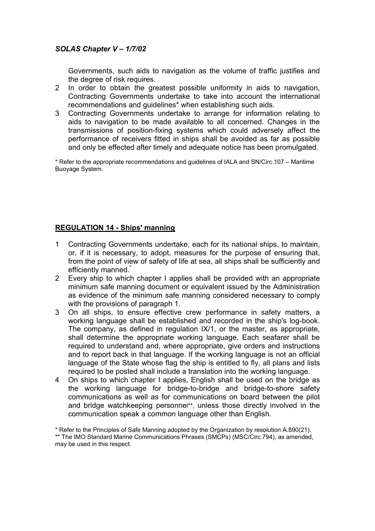Governments, such aids to navigation as the volume of traffic justifies and the degree of risk requires.

- 2 In order to obtain the greatest possible uniformity in aids to navigation, Contracting Governments undertake to take into account the international recommendations and guidelines\* when establishing such aids.
- 3 Contracting Governments undertake to arrange for information relating to aids to navigation to be made available to all concerned. Changes in the transmissions of position-fixing systems which could adversely affect the performance of receivers fitted in ships shall be avoided as far as possible and only be effected after timely and adequate notice has been promulgated.

\* Refer to the appropriate recommendations and guidelines of IALA and SN/Circ.107 – Maritime Buoyage System.

### **REGULATION 14 - Ships' manning**

- 1 Contracting Governments undertake, each for its national ships, to maintain, or, if it is necessary, to adopt, measures for the purpose of ensuring that, from the point of view of safety of life at sea, all ships shall be sufficiently and efficiently manned.<sup>\*</sup>
- 2 Every ship to which chapter I applies shall be provided with an appropriate minimum safe manning document or equivalent issued by the Administration as evidence of the minimum safe manning considered necessary to comply with the provisions of paragraph 1.
- 3 On all ships, to ensure effective crew performance in safety matters, a working language shall be established and recorded in the ship's log-book. The company, as defined in regulation IX/1, or the master, as appropriate, shall determine the appropriate working language. Each seafarer shall be required to understand and, where appropriate, give orders and instructions and to report back in that language. If the working language is not an official language of the State whose flag the ship is entitled to fly, all plans and lists required to be posted shall include a translation into the working language.
- 4 On ships to which chapter I applies, English shall be used on the bridge as the working language for bridge-to-bridge and bridge-to-shore safety communications as well as for communications on board between the pilot and bridge watchkeeping personnel\*\*, unless those directly involved in the communication speak a common language other than English.

<sup>\*</sup> Refer to the Principles of Safe Manning adopted by the Organization by resolution A.890(21). \*\* The IMO Standard Marine Communications Phrases (SMCPs) (MSC/Circ.794), as amended, may be used in this respect.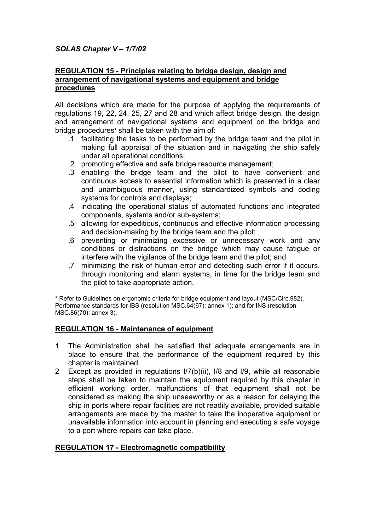#### **REGULATION 15 - Principles relating to bridge design, design and arrangement of navigational systems and equipment and bridge procedures**

All decisions which are made for the purpose of applying the requirements of regulations 19, 22, 24, 25, 27 and 28 and which affect bridge design, the design and arrangement of navigational systems and equipment on the bridge and bridge procedures\* shall be taken with the aim of:

- .1 facilitating the tasks to be performed by the bridge team and the pilot in making full appraisal of the situation and in navigating the ship safely under all operational conditions;
- .2 promoting effective and safe bridge resource management;
- .3 enabling the bridge team and the pilot to have convenient and continuous access to essential information which is presented in a clear and unambiguous manner, using standardized symbols and coding systems for controls and displays;
- .4 indicating the operational status of automated functions and integrated components, systems and/or sub-systems;
- .5 allowing for expeditious, continuous and effective information processing and decision-making by the bridge team and the pilot;
- .6 preventing or minimizing excessive or unnecessary work and any conditions or distractions on the bridge which may cause fatigue or interfere with the vigilance of the bridge team and the pilot; and
- .7 minimizing the risk of human error and detecting such error if it occurs, through monitoring and alarm systems, in time for the bridge team and the pilot to take appropriate action.

\* Refer to Guidelines on ergonomic criteria for bridge equipment and layout (MSC/Circ.982). Performance standards for IBS (resolution MSC.64(67); annex 1); and for INS (resolution MSC.86(70); annex 3).

### **REGULATION 16 - Maintenance of equipment**

- 1 The Administration shall be satisfied that adequate arrangements are in place to ensure that the performance of the equipment required by this chapter is maintained.
- 2 Except as provided in regulations I/7(b)(ii), I/8 and I/9, while all reasonable steps shall be taken to maintain the equipment required by this chapter in efficient working order, malfunctions of that equipment shall not be considered as making the ship unseaworthy or as a reason for delaying the ship in ports where repair facilities are not readily available, provided suitable arrangements are made by the master to take the inoperative equipment or unavailable information into account in planning and executing a safe voyage to a port where repairs can take place.

### **REGULATION 17 - Electromagnetic compatibility**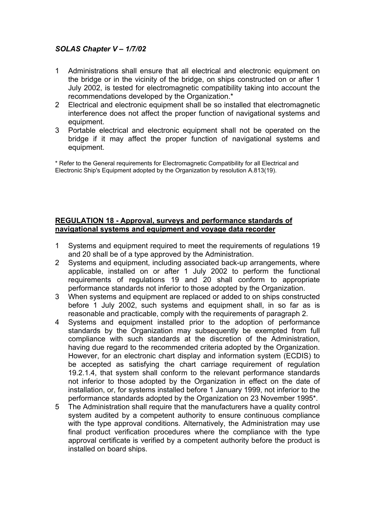- 1 Administrations shall ensure that all electrical and electronic equipment on the bridge or in the vicinity of the bridge, on ships constructed on or after 1 July 2002, is tested for electromagnetic compatibility taking into account the recommendations developed by the Organization.\*
- 2 Electrical and electronic equipment shall be so installed that electromagnetic interference does not affect the proper function of navigational systems and equipment.
- 3 Portable electrical and electronic equipment shall not be operated on the bridge if it may affect the proper function of navigational systems and equipment.

\* Refer to the General requirements for Electromagnetic Compatibility for all Electrical and Electronic Ship's Equipment adopted by the Organization by resolution A.813(19).

#### **REGULATION 18 - Approval, surveys and performance standards of navigational systems and equipment and voyage data recorder**

- 1 Systems and equipment required to meet the requirements of regulations 19 and 20 shall be of a type approved by the Administration.
- 2 Systems and equipment, including associated back-up arrangements, where applicable, installed on or after 1 July 2002 to perform the functional requirements of regulations 19 and 20 shall conform to appropriate performance standards not inferior to those adopted by the Organization.
- 3 When systems and equipment are replaced or added to on ships constructed before 1 July 2002, such systems and equipment shall, in so far as is reasonable and practicable, comply with the requirements of paragraph 2.
- 4 Systems and equipment installed prior to the adoption of performance standards by the Organization may subsequently be exempted from full compliance with such standards at the discretion of the Administration, having due regard to the recommended criteria adopted by the Organization. However, for an electronic chart display and information system (ECDIS) to be accepted as satisfying the chart carriage requirement of regulation 19.2.1.4, that system shall conform to the relevant performance standards not inferior to those adopted by the Organization in effect on the date of installation, or, for systems installed before 1 January 1999, not inferior to the performance standards adopted by the Organization on 23 November 1995\*.
- 5 The Administration shall require that the manufacturers have a quality control system audited by a competent authority to ensure continuous compliance with the type approval conditions. Alternatively, the Administration may use final product verification procedures where the compliance with the type approval certificate is verified by a competent authority before the product is installed on board ships.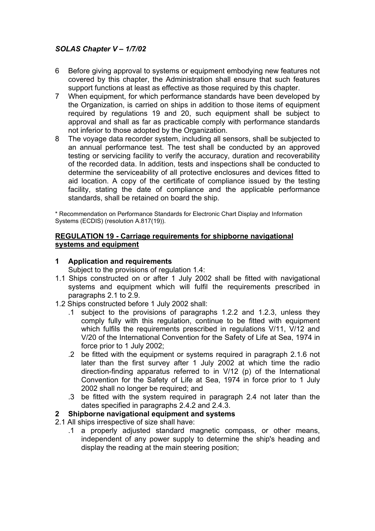- 6 Before giving approval to systems or equipment embodying new features not covered by this chapter, the Administration shall ensure that such features support functions at least as effective as those required by this chapter.
- 7 When equipment, for which performance standards have been developed by the Organization, is carried on ships in addition to those items of equipment required by regulations 19 and 20, such equipment shall be subject to approval and shall as far as practicable comply with performance standards not inferior to those adopted by the Organization.
- 8 The voyage data recorder system, including all sensors, shall be subjected to an annual performance test. The test shall be conducted by an approved testing or servicing facility to verify the accuracy, duration and recoverability of the recorded data. In addition, tests and inspections shall be conducted to determine the serviceability of all protective enclosures and devices fitted to aid location. A copy of the certificate of compliance issued by the testing facility, stating the date of compliance and the applicable performance standards, shall be retained on board the ship.

\* Recommendation on Performance Standards for Electronic Chart Display and Information Systems (ECDIS) (resolution A.817(19)).

#### **REGULATION 19 - Carriage requirements for shipborne navigational systems and equipment**

#### **1 Application and requirements**  Subject to the provisions of regulation 1.4:

1.1 Ships constructed on or after 1 July 2002 shall be fitted with navigational

- systems and equipment which will fulfil the requirements prescribed in paragraphs 2.1 to 2.9.
- 1.2 Ships constructed before 1 July 2002 shall:
	- .1 subject to the provisions of paragraphs 1.2.2 and 1.2.3, unless they comply fully with this regulation, continue to be fitted with equipment which fulfils the requirements prescribed in regulations  $V/11$ ,  $V/12$  and V/20 of the International Convention for the Safety of Life at Sea, 1974 in force prior to 1 July 2002;
	- .2 be fitted with the equipment or systems required in paragraph 2.1.6 not later than the first survey after 1 July 2002 at which time the radio direction-finding apparatus referred to in V/12 (p) of the International Convention for the Safety of Life at Sea, 1974 in force prior to 1 July 2002 shall no longer be required; and
	- .3 be fitted with the system required in paragraph 2.4 not later than the dates specified in paragraphs 2.4.2 and 2.4.3.

### **2 Shipborne navigational equipment and systems**

- 2.1 All ships irrespective of size shall have:
	- .1 a properly adjusted standard magnetic compass, or other means, independent of any power supply to determine the ship's heading and display the reading at the main steering position;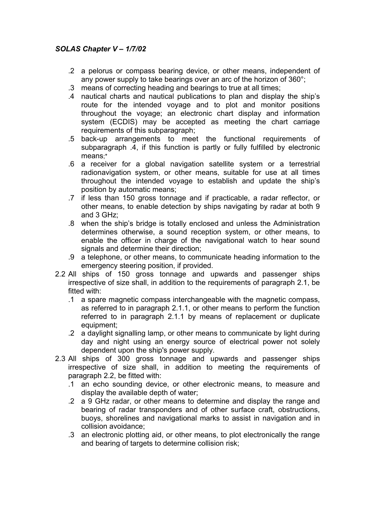- .2 a pelorus or compass bearing device, or other means, independent of any power supply to take bearings over an arc of the horizon of 360°;
- .3 means of correcting heading and bearings to true at all times;
- .4 nautical charts and nautical publications to plan and display the ship's route for the intended voyage and to plot and monitor positions throughout the voyage; an electronic chart display and information system (ECDIS) may be accepted as meeting the chart carriage requirements of this subparagraph;
- .5 back-up arrangements to meet the functional requirements of subparagraph .4, if this function is partly or fully fulfilled by electronic means;\*
- .6 a receiver for a global navigation satellite system or a terrestrial radionavigation system, or other means, suitable for use at all times throughout the intended voyage to establish and update the ship's position by automatic means;
- .7 if less than 150 gross tonnage and if practicable, a radar reflector, or other means, to enable detection by ships navigating by radar at both 9 and 3 GHz;
- .8 when the ship's bridge is totally enclosed and unless the Administration determines otherwise, a sound reception system, or other means, to enable the officer in charge of the navigational watch to hear sound signals and determine their direction;
- .9 a telephone, or other means, to communicate heading information to the emergency steering position, if provided.
- 2.2 All ships of 150 gross tonnage and upwards and passenger ships irrespective of size shall, in addition to the requirements of paragraph 2.1, be fitted with:
	- .1 a spare magnetic compass interchangeable with the magnetic compass, as referred to in paragraph 2.1.1, or other means to perform the function referred to in paragraph 2.1.1 by means of replacement or duplicate equipment;
	- .2 a daylight signalling lamp, or other means to communicate by light during day and night using an energy source of electrical power not solely dependent upon the ship's power supply.
- 2.3 All ships of 300 gross tonnage and upwards and passenger ships irrespective of size shall, in addition to meeting the requirements of paragraph 2.2, be fitted with:
	- .1 an echo sounding device, or other electronic means, to measure and display the available depth of water;
	- .2 a 9 GHz radar, or other means to determine and display the range and bearing of radar transponders and of other surface craft, obstructions, buoys, shorelines and navigational marks to assist in navigation and in collision avoidance;
	- .3 an electronic plotting aid, or other means, to plot electronically the range and bearing of targets to determine collision risk;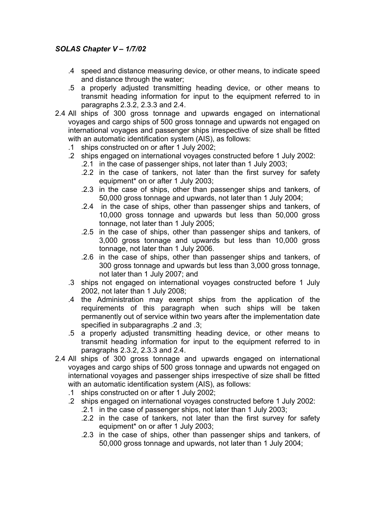- .4 speed and distance measuring device, or other means, to indicate speed and distance through the water;
- .5 a properly adjusted transmitting heading device, or other means to transmit heading information for input to the equipment referred to in paragraphs 2.3.2, 2.3.3 and 2.4.
- 2.4 All ships of 300 gross tonnage and upwards engaged on international voyages and cargo ships of 500 gross tonnage and upwards not engaged on international voyages and passenger ships irrespective of size shall be fitted with an automatic identification system (AIS), as follows:
	- .1 ships constructed on or after 1 July 2002;
	- .2 ships engaged on international voyages constructed before 1 July 2002:
		- .2.1 in the case of passenger ships, not later than 1 July 2003;
		- .2.2 in the case of tankers, not later than the first survey for safety equipment\* on or after 1 July 2003;
		- .2.3 in the case of ships, other than passenger ships and tankers, of 50,000 gross tonnage and upwards, not later than 1 July 2004;
		- .2.4 in the case of ships, other than passenger ships and tankers, of 10,000 gross tonnage and upwards but less than 50,000 gross tonnage, not later than 1 July 2005;
		- .2.5 in the case of ships, other than passenger ships and tankers, of 3,000 gross tonnage and upwards but less than 10,000 gross tonnage, not later than 1 July 2006.
		- .2.6 in the case of ships, other than passenger ships and tankers, of 300 gross tonnage and upwards but less than 3,000 gross tonnage, not later than 1 July 2007; and
	- .3 ships not engaged on international voyages constructed before 1 July 2002, not later than 1 July 2008;
	- .4 the Administration may exempt ships from the application of the requirements of this paragraph when such ships will be taken permanently out of service within two years after the implementation date specified in subparagraphs .2 and .3;
	- .5 a properly adjusted transmitting heading device, or other means to transmit heading information for input to the equipment referred to in paragraphs 2.3.2, 2.3.3 and 2.4.
- 2.4 All ships of 300 gross tonnage and upwards engaged on international voyages and cargo ships of 500 gross tonnage and upwards not engaged on international voyages and passenger ships irrespective of size shall be fitted with an automatic identification system (AIS), as follows:
	- .1 ships constructed on or after 1 July 2002;
	- .2 ships engaged on international voyages constructed before 1 July 2002:
		- .2.1 in the case of passenger ships, not later than 1 July 2003;
		- .2.2 in the case of tankers, not later than the first survey for safety equipment\* on or after 1 July 2003;
		- .2.3 in the case of ships, other than passenger ships and tankers, of 50,000 gross tonnage and upwards, not later than 1 July 2004;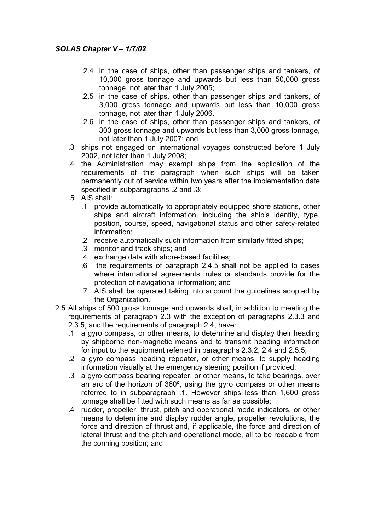- .2.4 in the case of ships, other than passenger ships and tankers, of 10,000 gross tonnage and upwards but less than 50,000 gross tonnage, not later than 1 July 2005;
- .2.5 in the case of ships, other than passenger ships and tankers, of 3,000 gross tonnage and upwards but less than 10,000 gross tonnage, not later than 1 July 2006.
- .2.6 in the case of ships, other than passenger ships and tankers, of 300 gross tonnage and upwards but less than 3,000 gross tonnage, not later than 1 July 2007; and
- .3 ships not engaged on international voyages constructed before 1 July 2002, not later than 1 July 2008;
- .4 the Administration may exempt ships from the application of the requirements of this paragraph when such ships will be taken permanently out of service within two years after the implementation date specified in subparagraphs .2 and .3;
- .5 AIS shall:
	- .1 provide automatically to appropriately equipped shore stations, other ships and aircraft information, including the ship's identity, type, position, course, speed, navigational status and other safety-related information;
	- .2 receive automatically such information from similarly fitted ships;
	- .3 monitor and track ships; and
	- .4 exchange data with shore-based facilities;
	- .6 the requirements of paragraph 2.4.5 shall not be applied to cases where international agreements, rules or standards provide for the protection of navigational information; and
	- .7 AIS shall be operated taking into account the guidelines adopted by the Organization.
- 2.5 All ships of 500 gross tonnage and upwards shall, in addition to meeting the requirements of paragraph 2.3 with the exception of paragraphs 2.3.3 and 2.3.5, and the requirements of paragraph 2.4, have:
	- .1 a gyro compass, or other means, to determine and display their heading by shipborne non-magnetic means and to transmit heading information for input to the equipment referred in paragraphs 2.3.2, 2.4 and 2.5.5;
	- .2 a gyro compass heading repeater, or other means, to supply heading information visually at the emergency steering position if provided;
	- .3 a gyro compass bearing repeater, or other means, to take bearings, over an arc of the horizon of 360º, using the gyro compass or other means referred to in subparagraph .1. However ships less than 1,600 gross tonnage shall be fitted with such means as far as possible;
	- .4 rudder, propeller, thrust, pitch and operational mode indicators, or other means to determine and display rudder angle, propeller revolutions, the force and direction of thrust and, if applicable, the force and direction of lateral thrust and the pitch and operational mode, all to be readable from the conning position; and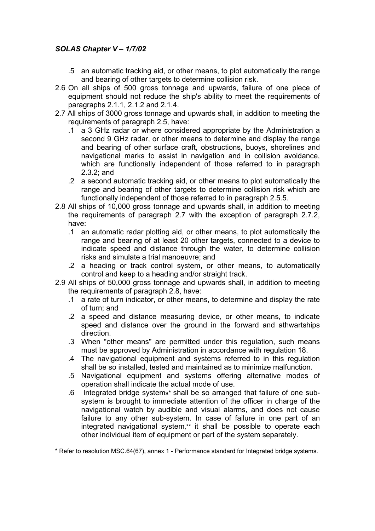- .5 an automatic tracking aid, or other means, to plot automatically the range and bearing of other targets to determine collision risk.
- 2.6 On all ships of 500 gross tonnage and upwards, failure of one piece of equipment should not reduce the ship's ability to meet the requirements of paragraphs 2.1.1, 2.1.2 and 2.1.4.
- 2.7 All ships of 3000 gross tonnage and upwards shall, in addition to meeting the requirements of paragraph 2.5, have:
	- .1 a 3 GHz radar or where considered appropriate by the Administration a second 9 GHz radar, or other means to determine and display the range and bearing of other surface craft, obstructions, buoys, shorelines and navigational marks to assist in navigation and in collision avoidance, which are functionally independent of those referred to in paragraph 2.3.2; and
	- .2 a second automatic tracking aid, or other means to plot automatically the range and bearing of other targets to determine collision risk which are functionally independent of those referred to in paragraph 2.5.5.
- 2.8 All ships of 10,000 gross tonnage and upwards shall, in addition to meeting the requirements of paragraph 2.7 with the exception of paragraph 2.7.2, have:
	- .1 an automatic radar plotting aid, or other means, to plot automatically the range and bearing of at least 20 other targets, connected to a device to indicate speed and distance through the water, to determine collision risks and simulate a trial manoeuvre; and
	- .2 a heading or track control system, or other means, to automatically control and keep to a heading and/or straight track.
- 2.9 All ships of 50,000 gross tonnage and upwards shall, in addition to meeting the requirements of paragraph 2.8, have:
	- .1 a rate of turn indicator, or other means, to determine and display the rate of turn; and
	- .2 a speed and distance measuring device, or other means, to indicate speed and distance over the ground in the forward and athwartships direction.
	- .3 When "other means" are permitted under this regulation, such means must be approved by Administration in accordance with regulation 18.
	- .4 The navigational equipment and systems referred to in this regulation shall be so installed, tested and maintained as to minimize malfunction.
	- .5 Navigational equipment and systems offering alternative modes of operation shall indicate the actual mode of use.
	- .6 Integrated bridge systems\* shall be so arranged that failure of one subsystem is brought to immediate attention of the officer in charge of the navigational watch by audible and visual alarms, and does not cause failure to any other sub-system. In case of failure in one part of an integrated navigational system,\*\* it shall be possible to operate each other individual item of equipment or part of the system separately.

<sup>\*</sup> Refer to resolution MSC.64(67), annex 1 - Performance standard for Integrated bridge systems.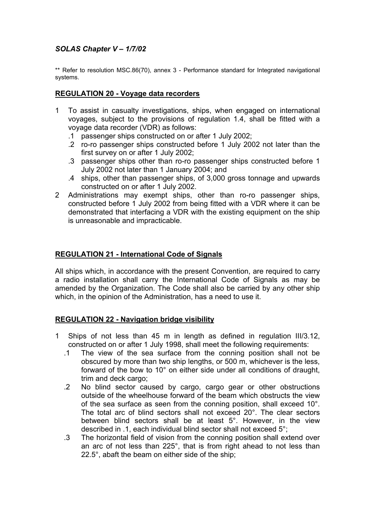\*\* Refer to resolution MSC.86(70), annex 3 - Performance standard for Integrated navigational systems.

### **REGULATION 20 - Voyage data recorders**

- 1 To assist in casualty investigations, ships, when engaged on international voyages, subject to the provisions of regulation 1.4, shall be fitted with a voyage data recorder (VDR) as follows:
	- .1 passenger ships constructed on or after 1 July 2002;
	- .2 ro-ro passenger ships constructed before 1 July 2002 not later than the first survey on or after 1 July 2002;
	- .3 passenger ships other than ro-ro passenger ships constructed before 1 July 2002 not later than 1 January 2004; and
	- .4 ships, other than passenger ships, of 3,000 gross tonnage and upwards constructed on or after 1 July 2002.
- 2 Administrations may exempt ships, other than ro-ro passenger ships, constructed before 1 July 2002 from being fitted with a VDR where it can be demonstrated that interfacing a VDR with the existing equipment on the ship is unreasonable and impracticable.

### **REGULATION 21 - International Code of Signals**

All ships which, in accordance with the present Convention, are required to carry a radio installation shall carry the International Code of Signals as may be amended by the Organization. The Code shall also be carried by any other ship which, in the opinion of the Administration, has a need to use it.

### **REGULATION 22 - Navigation bridge visibility**

- 1 Ships of not less than 45 m in length as defined in regulation III/3.12, constructed on or after 1 July 1998, shall meet the following requirements:
	- .1 The view of the sea surface from the conning position shall not be obscured by more than two ship lengths, or 500 m, whichever is the less, forward of the bow to 10° on either side under all conditions of draught, trim and deck cargo:
	- .2 No blind sector caused by cargo, cargo gear or other obstructions outside of the wheelhouse forward of the beam which obstructs the view of the sea surface as seen from the conning position, shall exceed 10°. The total arc of blind sectors shall not exceed 20°. The clear sectors between blind sectors shall be at least 5°. However, in the view described in .1, each individual blind sector shall not exceed 5°;
	- .3 The horizontal field of vision from the conning position shall extend over an arc of not less than 225°, that is from right ahead to not less than 22.5°, abaft the beam on either side of the ship;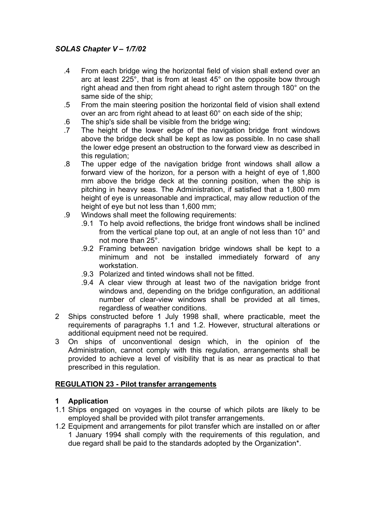- .4 From each bridge wing the horizontal field of vision shall extend over an arc at least 225°, that is from at least 45° on the opposite bow through right ahead and then from right ahead to right astern through 180° on the same side of the ship;
- .5 From the main steering position the horizontal field of vision shall extend over an arc from right ahead to at least 60° on each side of the ship;
- .6 The ship's side shall be visible from the bridge wing;
- .7 The height of the lower edge of the navigation bridge front windows above the bridge deck shall be kept as low as possible. In no case shall the lower edge present an obstruction to the forward view as described in this regulation;
- .8 The upper edge of the navigation bridge front windows shall allow a forward view of the horizon, for a person with a height of eye of 1,800 mm above the bridge deck at the conning position, when the ship is pitching in heavy seas. The Administration, if satisfied that a 1,800 mm height of eye is unreasonable and impractical, may allow reduction of the height of eye but not less than 1,600 mm;
- .9 Windows shall meet the following requirements:
	- .9.1 To help avoid reflections, the bridge front windows shall be inclined from the vertical plane top out, at an angle of not less than 10° and not more than 25°.
	- .9.2 Framing between navigation bridge windows shall be kept to a minimum and not be installed immediately forward of any workstation.
	- .9.3 Polarized and tinted windows shall not be fitted.
	- .9.4 A clear view through at least two of the navigation bridge front windows and, depending on the bridge configuration, an additional number of clear-view windows shall be provided at all times, regardless of weather conditions.
- 2 Ships constructed before 1 July 1998 shall, where practicable, meet the requirements of paragraphs 1.1 and 1.2. However, structural alterations or additional equipment need not be required.
- 3 On ships of unconventional design which, in the opinion of the Administration, cannot comply with this regulation, arrangements shall be provided to achieve a level of visibility that is as near as practical to that prescribed in this regulation.

### **REGULATION 23 - Pilot transfer arrangements**

### **1 Application**

- 1.1 Ships engaged on voyages in the course of which pilots are likely to be employed shall be provided with pilot transfer arrangements.
- 1.2 Equipment and arrangements for pilot transfer which are installed on or after 1 January 1994 shall comply with the requirements of this regulation, and due regard shall be paid to the standards adopted by the Organization\*.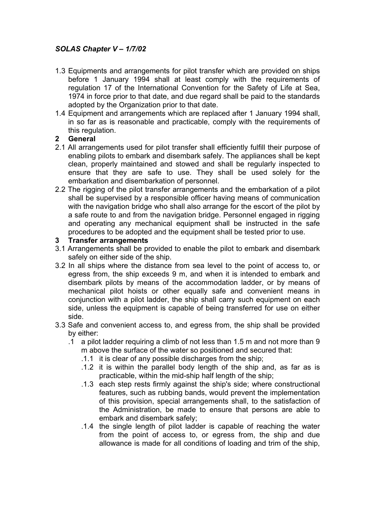- 1.3 Equipments and arrangements for pilot transfer which are provided on ships before 1 January 1994 shall at least comply with the requirements of regulation 17 of the International Convention for the Safety of Life at Sea, 1974 in force prior to that date, and due regard shall be paid to the standards adopted by the Organization prior to that date.
- 1.4 Equipment and arrangements which are replaced after 1 January 1994 shall, in so far as is reasonable and practicable, comply with the requirements of this regulation.

### **2 General**

- 2.1 All arrangements used for pilot transfer shall efficiently fulfill their purpose of enabling pilots to embark and disembark safely. The appliances shall be kept clean, properly maintained and stowed and shall be regularly inspected to ensure that they are safe to use. They shall be used solely for the embarkation and disembarkation of personnel.
- 2.2 The rigging of the pilot transfer arrangements and the embarkation of a pilot shall be supervised by a responsible officer having means of communication with the navigation bridge who shall also arrange for the escort of the pilot by a safe route to and from the navigation bridge. Personnel engaged in rigging and operating any mechanical equipment shall be instructed in the safe procedures to be adopted and the equipment shall be tested prior to use.

### **3 Transfer arrangements**

- 3.1 Arrangements shall be provided to enable the pilot to embark and disembark safely on either side of the ship.
- 3.2 In all ships where the distance from sea level to the point of access to, or egress from, the ship exceeds 9 m, and when it is intended to embark and disembark pilots by means of the accommodation ladder, or by means of mechanical pilot hoists or other equally safe and convenient means in conjunction with a pilot ladder, the ship shall carry such equipment on each side, unless the equipment is capable of being transferred for use on either side.
- 3.3 Safe and convenient access to, and egress from, the ship shall be provided by either:
	- .1 a pilot ladder requiring a climb of not less than 1.5 m and not more than 9 m above the surface of the water so positioned and secured that:
		- .1.1 it is clear of any possible discharges from the ship;
		- .1.2 it is within the parallel body length of the ship and, as far as is practicable, within the mid-ship half length of the ship;
		- .1.3 each step rests firmly against the ship's side; where constructional features, such as rubbing bands, would prevent the implementation of this provision, special arrangements shall, to the satisfaction of the Administration, be made to ensure that persons are able to embark and disembark safely;
		- .1.4 the single length of pilot ladder is capable of reaching the water from the point of access to, or egress from, the ship and due allowance is made for all conditions of loading and trim of the ship,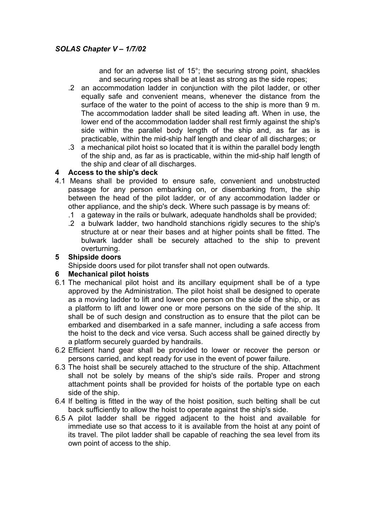and for an adverse list of 15°; the securing strong point, shackles and securing ropes shall be at least as strong as the side ropes;

- .2 an accommodation ladder in conjunction with the pilot ladder, or other equally safe and convenient means, whenever the distance from the surface of the water to the point of access to the ship is more than 9 m. The accommodation ladder shall be sited leading aft. When in use, the lower end of the accommodation ladder shall rest firmly against the ship's side within the parallel body length of the ship and, as far as is practicable, within the mid-ship half length and clear of all discharges; or
- .3 a mechanical pilot hoist so located that it is within the parallel body length of the ship and, as far as is practicable, within the mid-ship half length of the ship and clear of all discharges.

### **4 Access to the ship's deck**

- 4.1 Means shall be provided to ensure safe, convenient and unobstructed passage for any person embarking on, or disembarking from, the ship between the head of the pilot ladder, or of any accommodation ladder or other appliance, and the ship's deck. Where such passage is by means of:
	- .1 a gateway in the rails or bulwark, adequate handholds shall be provided;
	- .2 a bulwark ladder, two handhold stanchions rigidly secures to the ship's structure at or near their bases and at higher points shall be fitted. The bulwark ladder shall be securely attached to the ship to prevent overturning.

### **5 Shipside doors**

Shipside doors used for pilot transfer shall not open outwards.

#### **6 Mechanical pilot hoists**

- 6.1 The mechanical pilot hoist and its ancillary equipment shall be of a type approved by the Administration. The pilot hoist shall be designed to operate as a moving ladder to lift and lower one person on the side of the ship, or as a platform to lift and lower one or more persons on the side of the ship. It shall be of such design and construction as to ensure that the pilot can be embarked and disembarked in a safe manner, including a safe access from the hoist to the deck and vice versa. Such access shall be gained directly by a platform securely guarded by handrails.
- 6.2 Efficient hand gear shall be provided to lower or recover the person or persons carried, and kept ready for use in the event of power failure.
- 6.3 The hoist shall be securely attached to the structure of the ship. Attachment shall not be solely by means of the ship's side rails. Proper and strong attachment points shall be provided for hoists of the portable type on each side of the ship.
- 6.4 If belting is fitted in the way of the hoist position, such belting shall be cut back sufficiently to allow the hoist to operate against the ship's side.
- 6.5 A pilot ladder shall be rigged adjacent to the hoist and available for immediate use so that access to it is available from the hoist at any point of its travel. The pilot ladder shall be capable of reaching the sea level from its own point of access to the ship.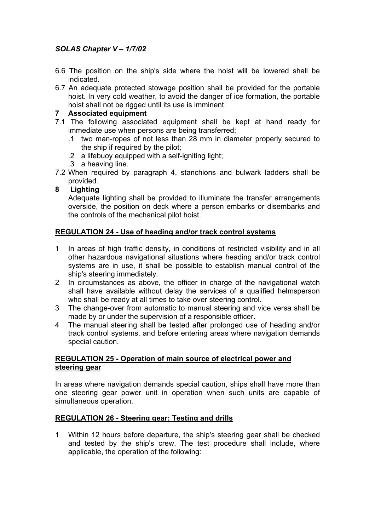- 6.6 The position on the ship's side where the hoist will be lowered shall be indicated.
- 6.7 An adequate protected stowage position shall be provided for the portable hoist. In very cold weather, to avoid the danger of ice formation, the portable hoist shall not be rigged until its use is imminent.

### **7 Associated equipment**

- 7.1 The following associated equipment shall be kept at hand ready for immediate use when persons are being transferred;
	- .1 two man-ropes of not less than 28 mm in diameter properly secured to the ship if required by the pilot;
	- .2 a lifebuoy equipped with a self-igniting light;
	- .3 a heaving line.
- 7.2 When required by paragraph 4, stanchions and bulwark ladders shall be provided.

### **8 Lighting**

Adequate lighting shall be provided to illuminate the transfer arrangements overside, the position on deck where a person embarks or disembarks and the controls of the mechanical pilot hoist.

### **REGULATION 24 - Use of heading and/or track control systems**

- 1 In areas of high traffic density, in conditions of restricted visibility and in all other hazardous navigational situations where heading and/or track control systems are in use, it shall be possible to establish manual control of the ship's steering immediately.
- 2 In circumstances as above, the officer in charge of the navigational watch shall have available without delay the services of a qualified helmsperson who shall be ready at all times to take over steering control.
- 3 The change-over from automatic to manual steering and vice versa shall be made by or under the supervision of a responsible officer.
- 4 The manual steering shall be tested after prolonged use of heading and/or track control systems, and before entering areas where navigation demands special caution.

### **REGULATION 25 - Operation of main source of electrical power and steering gear**

In areas where navigation demands special caution, ships shall have more than one steering gear power unit in operation when such units are capable of simultaneous operation.

### **REGULATION 26 - Steering gear: Testing and drills**

1 Within 12 hours before departure, the ship's steering gear shall be checked and tested by the ship's crew. The test procedure shall include, where applicable, the operation of the following: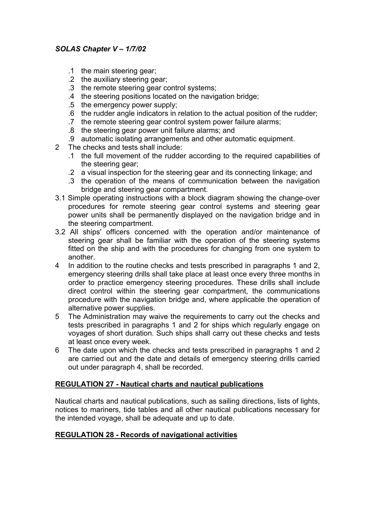- .1 the main steering gear;
- .2 the auxiliary steering gear;
- .3 the remote steering gear control systems;
- .4 the steering positions located on the navigation bridge;
- .5 the emergency power supply;
- .6 the rudder angle indicators in relation to the actual position of the rudder;
- .7 the remote steering gear control system power failure alarms;
- .8 the steering gear power unit failure alarms; and
- .9 automatic isolating arrangements and other automatic equipment.
- 2 The checks and tests shall include:
	- .1 the full movement of the rudder according to the required capabilities of the steering gear;
	- .2 a visual inspection for the steering gear and its connecting linkage; and
	- .3 the operation of the means of communication between the navigation bridge and steering gear compartment.
- 3.1 Simple operating instructions with a block diagram showing the change-over procedures for remote steering gear control systems and steering gear power units shall be permanently displayed on the navigation bridge and in the steering compartment.
- 3.2 All ships' officers concerned with the operation and/or maintenance of steering gear shall be familiar with the operation of the steering systems fitted on the ship and with the procedures for changing from one system to another.
- 4 In addition to the routine checks and tests prescribed in paragraphs 1 and 2, emergency steering drills shall take place at least once every three months in order to practice emergency steering procedures. These drills shall include direct control within the steering gear compartment, the communications procedure with the navigation bridge and, where applicable the operation of alternative power supplies.
- 5 The Administration may waive the requirements to carry out the checks and tests prescribed in paragraphs 1 and 2 for ships which regularly engage on voyages of short duration. Such ships shall carry out these checks and tests at least once every week.
- 6 The date upon which the checks and tests prescribed in paragraphs 1 and 2 are carried out and the date and details of emergency steering drills carried out under paragraph 4, shall be recorded.

### **REGULATION 27 - Nautical charts and nautical publications**

Nautical charts and nautical publications, such as sailing directions, lists of lights, notices to mariners, tide tables and all other nautical publications necessary for the intended voyage, shall be adequate and up to date.

## **REGULATION 28 - Records of navigational activities**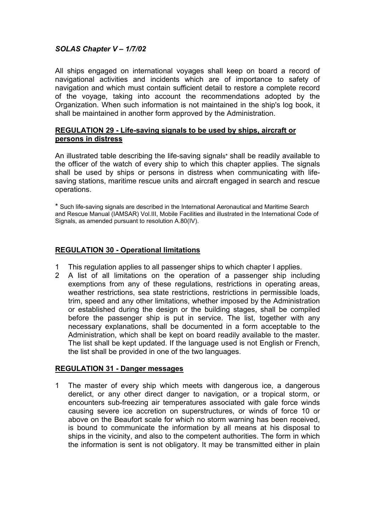All ships engaged on international voyages shall keep on board a record of navigational activities and incidents which are of importance to safety of navigation and which must contain sufficient detail to restore a complete record of the voyage, taking into account the recommendations adopted by the Organization. When such information is not maintained in the ship's log book, it shall be maintained in another form approved by the Administration.

#### **REGULATION 29 - Life-saving signals to be used by ships, aircraft or persons in distress**

An illustrated table describing the life-saving signals\* shall be readily available to the officer of the watch of every ship to which this chapter applies. The signals shall be used by ships or persons in distress when communicating with lifesaving stations, maritime rescue units and aircraft engaged in search and rescue operations.

\* Such life-saving signals are described in the International Aeronautical and Maritime Search and Rescue Manual (IAMSAR) Vol.III, Mobile Facilities and illustrated in the International Code of Signals, as amended pursuant to resolution A.80(IV).

#### **REGULATION 30 - Operational limitations**

- 1 This regulation applies to all passenger ships to which chapter I applies.
- 2 A list of all limitations on the operation of a passenger ship including exemptions from any of these regulations, restrictions in operating areas, weather restrictions, sea state restrictions, restrictions in permissible loads, trim, speed and any other limitations, whether imposed by the Administration or established during the design or the building stages, shall be compiled before the passenger ship is put in service. The list, together with any necessary explanations, shall be documented in a form acceptable to the Administration, which shall be kept on board readily available to the master. The list shall be kept updated. If the language used is not English or French, the list shall be provided in one of the two languages.

#### **REGULATION 31 - Danger messages**

1 The master of every ship which meets with dangerous ice, a dangerous derelict, or any other direct danger to navigation, or a tropical storm, or encounters sub-freezing air temperatures associated with gale force winds causing severe ice accretion on superstructures, or winds of force 10 or above on the Beaufort scale for which no storm warning has been received, is bound to communicate the information by all means at his disposal to ships in the vicinity, and also to the competent authorities. The form in which the information is sent is not obligatory. It may be transmitted either in plain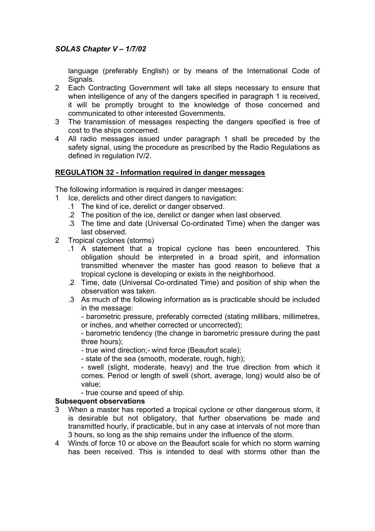language (preferably English) or by means of the International Code of Signals.

- 2 Each Contracting Government will take all steps necessary to ensure that when intelligence of any of the dangers specified in paragraph 1 is received. it will be promptly brought to the knowledge of those concerned and communicated to other interested Governments.
- 3 The transmission of messages respecting the dangers specified is free of cost to the ships concerned.
- 4 All radio messages issued under paragraph 1 shall be preceded by the safety signal, using the procedure as prescribed by the Radio Regulations as defined in regulation IV/2.

### **REGULATION 32 - Information required in danger messages**

The following information is required in danger messages:

- Ice, derelicts and other direct dangers to navigation:
	- .1 The kind of ice, derelict or danger observed.
	- .2 The position of the ice, derelict or danger when last observed.
	- .3 The time and date (Universal Co-ordinated Time) when the danger was last observed.
- 2 Tropical cyclones (storms)
	- .1 A statement that a tropical cyclone has been encountered. This obligation should be interpreted in a broad spirit, and information transmitted whenever the master has good reason to believe that a tropical cyclone is developing or exists in the neighborhood.
	- .2 Time, date (Universal Co-ordinated Time) and position of ship when the observation was taken.
	- .3 As much of the following information as is practicable should be included in the message:

- barometric pressure, preferably corrected (stating millibars, millimetres, or inches, and whether corrected or uncorrected);

- barometric tendency (the change in barometric pressure during the past three hours);

- true wind direction;- wind force (Beaufort scale);

- state of the sea (smooth, moderate, rough, high);

- swell (slight, moderate, heavy) and the true direction from which it comes. Period or length of swell (short, average, long) would also be of value;

- true course and speed of ship.

#### **Subsequent observations**

- 3 When a master has reported a tropical cyclone or other dangerous storm, it is desirable but not obligatory, that further observations be made and transmitted hourly, if practicable, but in any case at intervals of not more than 3 hours, so long as the ship remains under the influence of the storm.
- 4 Winds of force 10 or above on the Beaufort scale for which no storm warning has been received. This is intended to deal with storms other than the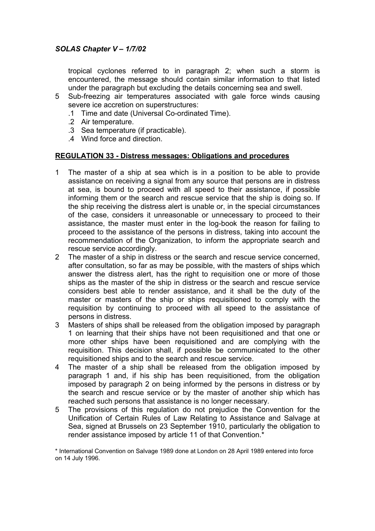tropical cyclones referred to in paragraph 2; when such a storm is encountered, the message should contain similar information to that listed under the paragraph but excluding the details concerning sea and swell.

- 5 Sub-freezing air temperatures associated with gale force winds causing severe ice accretion on superstructures:
	- .1 Time and date (Universal Co-ordinated Time).
	- .2 Air temperature.
	- .3 Sea temperature (if practicable).
	- .4 Wind force and direction.

#### **REGULATION 33 - Distress messages: Obligations and procedures**

- 1 The master of a ship at sea which is in a position to be able to provide assistance on receiving a signal from any source that persons are in distress at sea, is bound to proceed with all speed to their assistance, if possible informing them or the search and rescue service that the ship is doing so. If the ship receiving the distress alert is unable or, in the special circumstances of the case, considers it unreasonable or unnecessary to proceed to their assistance, the master must enter in the log-book the reason for failing to proceed to the assistance of the persons in distress, taking into account the recommendation of the Organization, to inform the appropriate search and rescue service accordingly.
- 2 The master of a ship in distress or the search and rescue service concerned, after consultation, so far as may be possible, with the masters of ships which answer the distress alert, has the right to requisition one or more of those ships as the master of the ship in distress or the search and rescue service considers best able to render assistance, and it shall be the duty of the master or masters of the ship or ships requisitioned to comply with the requisition by continuing to proceed with all speed to the assistance of persons in distress.
- 3 Masters of ships shall be released from the obligation imposed by paragraph 1 on learning that their ships have not been requisitioned and that one or more other ships have been requisitioned and are complying with the requisition. This decision shall, if possible be communicated to the other requisitioned ships and to the search and rescue service.
- 4 The master of a ship shall be released from the obligation imposed by paragraph 1 and, if his ship has been requisitioned, from the obligation imposed by paragraph 2 on being informed by the persons in distress or by the search and rescue service or by the master of another ship which has reached such persons that assistance is no longer necessary.
- 5 The provisions of this regulation do not prejudice the Convention for the Unification of Certain Rules of Law Relating to Assistance and Salvage at Sea, signed at Brussels on 23 September 1910, particularly the obligation to render assistance imposed by article 11 of that Convention.\*

\* International Convention on Salvage 1989 done at London on 28 April 1989 entered into force on 14 July 1996.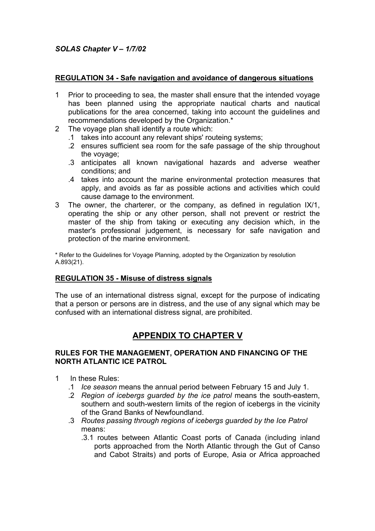#### **REGULATION 34 - Safe navigation and avoidance of dangerous situations**

- 1 Prior to proceeding to sea, the master shall ensure that the intended voyage has been planned using the appropriate nautical charts and nautical publications for the area concerned, taking into account the guidelines and recommendations developed by the Organization.\*
- 2 The voyage plan shall identify a route which:
	- .1 takes into account any relevant ships' routeing systems;
	- .2 ensures sufficient sea room for the safe passage of the ship throughout the voyage;
	- .3 anticipates all known navigational hazards and adverse weather conditions; and
	- .4 takes into account the marine environmental protection measures that apply, and avoids as far as possible actions and activities which could cause damage to the environment.
- 3 The owner, the charterer, or the company, as defined in regulation IX/1, operating the ship or any other person, shall not prevent or restrict the master of the ship from taking or executing any decision which, in the master's professional judgement, is necessary for safe navigation and protection of the marine environment.

\* Refer to the Guidelines for Voyage Planning, adopted by the Organization by resolution A.893(21).

### **REGULATION 35 - Misuse of distress signals**

The use of an international distress signal, except for the purpose of indicating that a person or persons are in distress, and the use of any signal which may be confused with an international distress signal, are prohibited.

# **APPENDIX TO CHAPTER V**

#### **RULES FOR THE MANAGEMENT, OPERATION AND FINANCING OF THE NORTH ATLANTIC ICE PATROL**

- 1 In these Rules:
	- .1 *Ice season* means the annual period between February 15 and July 1.
	- .2 *Region of icebergs guarded by the ice patrol* means the south-eastern, southern and south-western limits of the region of icebergs in the vicinity of the Grand Banks of Newfoundland.
	- .3 *Routes passing through regions of icebergs guarded by the Ice Patrol*  means:
		- .3.1 routes between Atlantic Coast ports of Canada (including inland ports approached from the North Atlantic through the Gut of Canso and Cabot Straits) and ports of Europe, Asia or Africa approached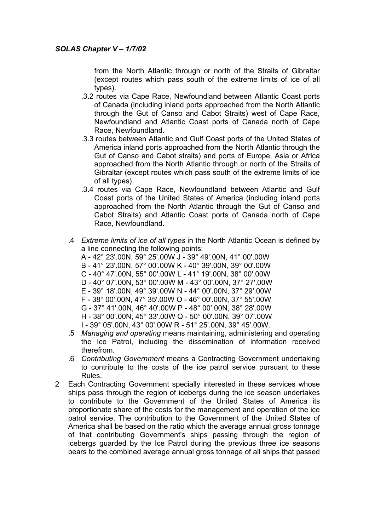from the North Atlantic through or north of the Straits of Gibraltar (except routes which pass south of the extreme limits of ice of all types).

- .3.2 routes via Cape Race, Newfoundland between Atlantic Coast ports of Canada (including inland ports approached from the North Atlantic through the Gut of Canso and Cabot Straits) west of Cape Race, Newfoundland and Atlantic Coast ports of Canada north of Cape Race, Newfoundland.
- .3.3 routes between Atlantic and Gulf Coast ports of the United States of America inland ports approached from the North Atlantic through the Gut of Canso and Cabot straits) and ports of Europe, Asia or Africa approached from the North Atlantic through or north of the Straits of Gibraltar (except routes which pass south of the extreme limits of ice of all types).
- .3.4 routes via Cape Race, Newfoundland between Atlantic and Gulf Coast ports of the United States of America (including inland ports approached from the North Atlantic through the Gut of Canso and Cabot Straits) and Atlantic Coast ports of Canada north of Cape Race, Newfoundland.
- .4 *Extreme limits of ice of all types* in the North Atlantic Ocean is defined by a line connecting the following points: A - 42° 23'.00N, 59° 25'.00W J - 39° 49'.00N, 41° 00'.00W B - 41° 23'.00N, 57° 00'.00W K - 40° 39'.00N, 39° 00'.00W C - 40° 47'.00N, 55° 00'.00W L - 41° 19'.00N, 38° 00'.00W D - 40° 07'.00N, 53° 00'.00W M - 43° 00'.00N, 37° 27'.00W E - 39° 18'.00N, 49° 39'.00W N - 44° 00'.00N, 37° 29'.00W F - 38° 00'.00N, 47° 35'.00W O - 46° 00'.00N, 37° 55'.00W G - 37° 41'.00N, 46° 40'.00W P - 48° 00'.00N, 38° 28'.00W H - 38° 00'.00N, 45° 33'.00W Q - 50° 00'.00N, 39° 07'.00W I - 39° 05'.00N, 43° 00'.00W R - 51° 25'.00N, 39° 45'.00W.
- .5 *Managing and operating* means maintaining, administering and operating the Ice Patrol, including the dissemination of information received therefrom.
- .6 *Contributing Government* means a Contracting Government undertaking to contribute to the costs of the ice patrol service pursuant to these Rules.
- 2 Each Contracting Government specially interested in these services whose ships pass through the region of icebergs during the ice season undertakes to contribute to the Government of the United States of America its proportionate share of the costs for the management and operation of the ice patrol service. The contribution to the Government of the United States of America shall be based on the ratio which the average annual gross tonnage of that contributing Government's ships passing through the region of icebergs guarded by the Ice Patrol during the previous three ice seasons bears to the combined average annual gross tonnage of all ships that passed